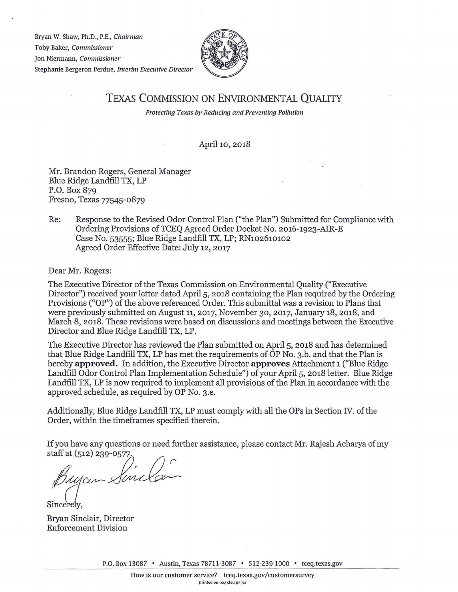Bryan W. Shaw, Ph.D., P.E., *Chairman*  Toby Baker, *Commissioner*  Jon Niermann, *Commissioner*  Stephanie Bergeron Perdue, *Interim Executive Director* 



## TEXAS COMMISSION ON ENVIRONMENTAL QUALITY

*Protecting Texas by Reducing and Preventing Pollution* 

April 10, 2018

Mr. Brandon Rogers, General Manager Blue Ridge Landfill TX, LP P.O. Box 879 Fresno, Texas 77545-0879

## Re: Response to the Revised Odor Control Plan ("the Plan") Submitted for Compliance with Ordering Provisions of TCEQ Agreed Order Docket No. 2016-1923-AIR-E Case No. 53555; Blue Ridge Landfill TX, LP; RN102610102 Agreed Order Effective Date: July 12, 2017

Dear Mr. Rogers:

The Executive Director of the Texas Commission on Environmental Quality ("Executive Director") received your letter dated April 5, 2018 containing the Plan required by the Ordering Provisions ("OP") of the above referenced Order. This submittal was a revision to Plans that were previously submitted on August 11, 2017, November 30, 2017, January 18, 2018, and March 8, 2018. These revisions were based on discussions and meetings between the Executive Director and Blue Ridge Landfill TX, LP.

The Executive Director has reviewed the Plan submitted on April 5, 2018 and has determined that Blue Ridge Landfill TX, LP has met the requirements of OP No. 3.b. and that the Plan is hereby **approved.** In addition, the Executive Director **approves** Attachment 1 ("Blue Ridge Landfill Odor Control Plan Implementation Schedule") of your April 5, 2018 letter. Blue Ridge Landfill TX, LP is now required to implement all provisions of the Plan in accordance with the approved schedule, as required by OP No. 3.e.

Additionally, Blue Ridge Landfill TX, LP must comply with all the OPs in Section IV. of the Order, within the timeframes specified therein.

Ifyou have any questions or need further assistance, please contact Mr. Rajesh Acharya of my staff at (512) 239-0577.

Buyan Sinclan

Sincere<sup>l</sup> v

Bryan Sinclair, Director Enforcement Division

P.O. Box 13087 • Austin, Texas 78711-3087 • 512-239-1000 • tceq.texas.gov